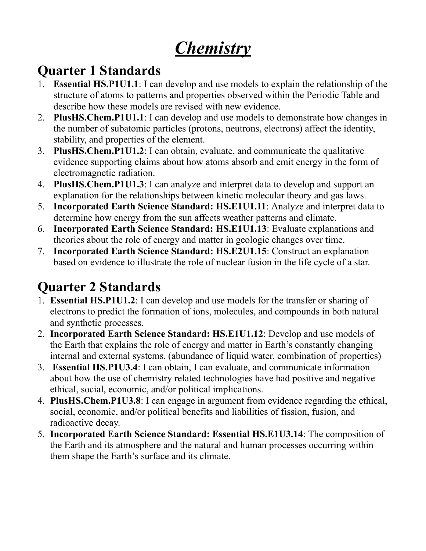# *Chemistry*

#### **Quarter 1 Standards**

- 1. **Essential HS.P1U1.1**: I can develop and use models to explain the relationship of the structure of atoms to patterns and properties observed within the Periodic Table and describe how these models are revised with new evidence.
- 2. **PlusHS.Chem.P1U1.1**: I can develop and use models to demonstrate how changes in the number of subatomic particles (protons, neutrons, electrons) affect the identity, stability, and properties of the element.
- 3. **PlusHS.Chem.P1U1.2**: I can obtain, evaluate, and communicate the qualitative evidence supporting claims about how atoms absorb and emit energy in the form of electromagnetic radiation.
- 4. **PlusHS.Chem.P1U1.3**: I can analyze and interpret data to develop and support an explanation for the relationships between kinetic molecular theory and gas laws.
- 5. **Incorporated Earth Science Standard: HS.E1U1.11**: Analyze and interpret data to determine how energy from the sun affects weather patterns and climate.
- 6. **Incorporated Earth Science Standard: HS.E1U1.13**: Evaluate explanations and theories about the role of energy and matter in geologic changes over time.
- 7. **Incorporated Earth Science Standard: HS.E2U1.15**: Construct an explanation based on evidence to illustrate the role of nuclear fusion in the life cycle of a star.

#### **Quarter 2 Standards**

- 1. **Essential HS.P1U1.2**: I can develop and use models for the transfer or sharing of electrons to predict the formation of ions, molecules, and compounds in both natural and synthetic processes.
- 2. **Incorporated Earth Science Standard: HS.E1U1.12**: Develop and use models of the Earth that explains the role of energy and matter in Earth's constantly changing internal and external systems. (abundance of liquid water, combination of properties)
- 3. **Essential HS.P1U3.4**: I can obtain, I can evaluate, and communicate information about how the use of chemistry related technologies have had positive and negative ethical, social, economic, and/or political implications.
- 4. **PlusHS.Chem.P1U3.8**: I can engage in argument from evidence regarding the ethical, social, economic, and/or political benefits and liabilities of fission, fusion, and radioactive decay.
- 5. **Incorporated Earth Science Standard: Essential HS.E1U3.14**: The composition of the Earth and its atmosphere and the natural and human processes occurring within them shape the Earth's surface and its climate.